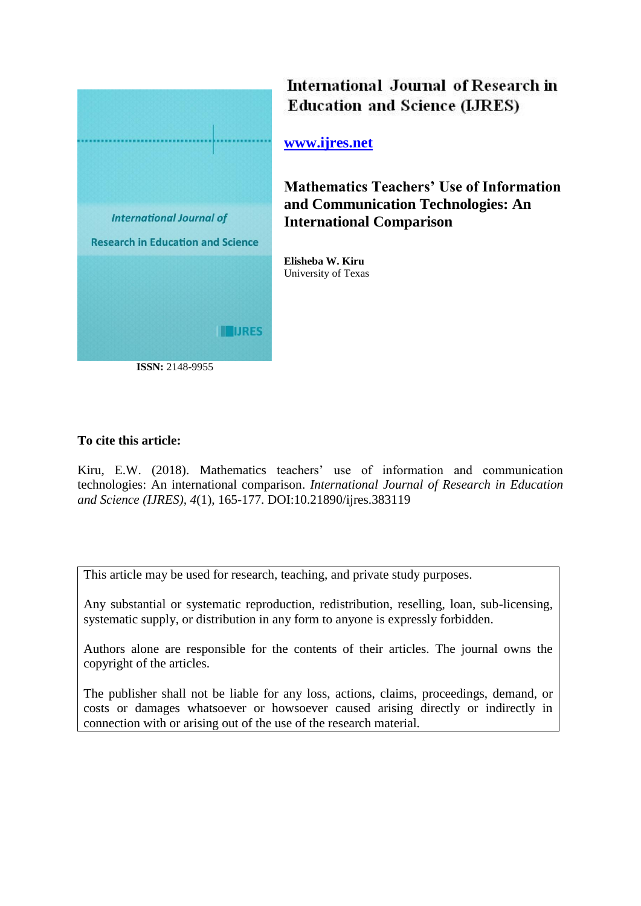

International Journal of Research in **Education and Science (LJRES)** 

**[www.ijres.net](http://www.ijres.net/)**

**Mathematics Teachers' Use of Information and Communication Technologies: An International Comparison**

**Elisheba W. Kiru** University of Texas

# **To cite this article:**

Kiru, E.W. (2018). Mathematics teachers' use of information and communication technologies: An international comparison. *International Journal of Research in Education and Science (IJRES), 4*(1), 165-177. DOI:10.21890/ijres.383119

This article may be used for research, teaching, and private study purposes.

Any substantial or systematic reproduction, redistribution, reselling, loan, sub-licensing, systematic supply, or distribution in any form to anyone is expressly forbidden.

Authors alone are responsible for the contents of their articles. The journal owns the copyright of the articles.

The publisher shall not be liable for any loss, actions, claims, proceedings, demand, or costs or damages whatsoever or howsoever caused arising directly or indirectly in connection with or arising out of the use of the research material.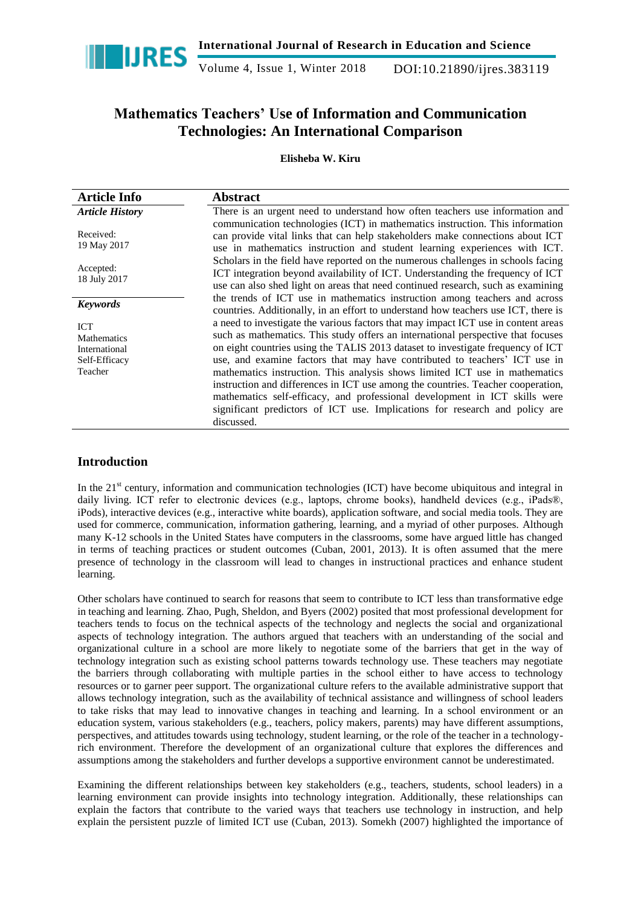

Volume 4, Issue 1, Winter 2018 DOI:10.21890/ijres.383119

# **Mathematics Teachers' Use of Information and Communication Technologies: An International Comparison**

# **Elisheba W. Kiru**

| <b>Article Info</b>                                                           | <b>Abstract</b>                                                                                                                                                                                                                                                                                                                                                                                                                                                                                                                                                                                                                                                                       |
|-------------------------------------------------------------------------------|---------------------------------------------------------------------------------------------------------------------------------------------------------------------------------------------------------------------------------------------------------------------------------------------------------------------------------------------------------------------------------------------------------------------------------------------------------------------------------------------------------------------------------------------------------------------------------------------------------------------------------------------------------------------------------------|
| <b>Article History</b>                                                        | There is an urgent need to understand how often teachers use information and                                                                                                                                                                                                                                                                                                                                                                                                                                                                                                                                                                                                          |
| Received:<br>19 May 2017                                                      | communication technologies (ICT) in mathematics instruction. This information<br>can provide vital links that can help stakeholders make connections about ICT<br>use in mathematics instruction and student learning experiences with ICT.                                                                                                                                                                                                                                                                                                                                                                                                                                           |
| Accepted:<br>18 July 2017                                                     | Scholars in the field have reported on the numerous challenges in schools facing<br>ICT integration beyond availability of ICT. Understanding the frequency of ICT<br>use can also shed light on areas that need continued research, such as examining                                                                                                                                                                                                                                                                                                                                                                                                                                |
| <b>Keywords</b>                                                               | the trends of ICT use in mathematics instruction among teachers and across<br>countries. Additionally, in an effort to understand how teachers use ICT, there is                                                                                                                                                                                                                                                                                                                                                                                                                                                                                                                      |
| <b>ICT</b><br><b>Mathematics</b><br>International<br>Self-Efficacy<br>Teacher | a need to investigate the various factors that may impact ICT use in content areas<br>such as mathematics. This study offers an international perspective that focuses<br>on eight countries using the TALIS 2013 dataset to investigate frequency of ICT<br>use, and examine factors that may have contributed to teachers' ICT use in<br>mathematics instruction. This analysis shows limited ICT use in mathematics<br>instruction and differences in ICT use among the countries. Teacher cooperation,<br>mathematics self-efficacy, and professional development in ICT skills were<br>significant predictors of ICT use. Implications for research and policy are<br>discussed. |

# **Introduction**

In the 21<sup>st</sup> century, information and communication technologies (ICT) have become ubiquitous and integral in daily living. ICT refer to electronic devices (e.g., laptops, chrome books), handheld devices (e.g., iPads®, iPods), interactive devices (e.g., interactive white boards), application software, and social media tools. They are used for commerce, communication, information gathering, learning, and a myriad of other purposes. Although many K-12 schools in the United States have computers in the classrooms, some have argued little has changed in terms of teaching practices or student outcomes (Cuban, 2001, 2013). It is often assumed that the mere presence of technology in the classroom will lead to changes in instructional practices and enhance student learning.

Other scholars have continued to search for reasons that seem to contribute to ICT less than transformative edge in teaching and learning. Zhao, Pugh, Sheldon, and Byers (2002) posited that most professional development for teachers tends to focus on the technical aspects of the technology and neglects the social and organizational aspects of technology integration. The authors argued that teachers with an understanding of the social and organizational culture in a school are more likely to negotiate some of the barriers that get in the way of technology integration such as existing school patterns towards technology use. These teachers may negotiate the barriers through collaborating with multiple parties in the school either to have access to technology resources or to garner peer support. The organizational culture refers to the available administrative support that allows technology integration, such as the availability of technical assistance and willingness of school leaders to take risks that may lead to innovative changes in teaching and learning. In a school environment or an education system, various stakeholders (e.g., teachers, policy makers, parents) may have different assumptions, perspectives, and attitudes towards using technology, student learning, or the role of the teacher in a technologyrich environment. Therefore the development of an organizational culture that explores the differences and assumptions among the stakeholders and further develops a supportive environment cannot be underestimated.

Examining the different relationships between key stakeholders (e.g., teachers, students, school leaders) in a learning environment can provide insights into technology integration. Additionally, these relationships can explain the factors that contribute to the varied ways that teachers use technology in instruction, and help explain the persistent puzzle of limited ICT use (Cuban, 2013). Somekh (2007) highlighted the importance of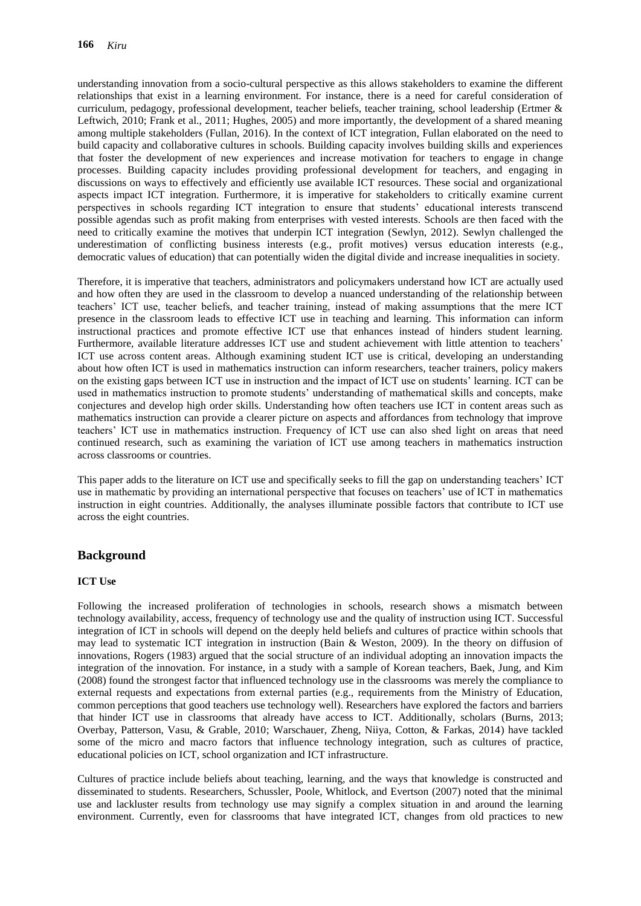understanding innovation from a socio-cultural perspective as this allows stakeholders to examine the different relationships that exist in a learning environment. For instance, there is a need for careful consideration of curriculum, pedagogy, professional development, teacher beliefs, teacher training, school leadership (Ertmer & Leftwich, 2010; Frank et al., 2011; Hughes, 2005) and more importantly, the development of a shared meaning among multiple stakeholders (Fullan, 2016). In the context of ICT integration, Fullan elaborated on the need to build capacity and collaborative cultures in schools. Building capacity involves building skills and experiences that foster the development of new experiences and increase motivation for teachers to engage in change processes. Building capacity includes providing professional development for teachers, and engaging in discussions on ways to effectively and efficiently use available ICT resources. These social and organizational aspects impact ICT integration. Furthermore, it is imperative for stakeholders to critically examine current perspectives in schools regarding ICT integration to ensure that students' educational interests transcend possible agendas such as profit making from enterprises with vested interests. Schools are then faced with the need to critically examine the motives that underpin ICT integration (Sewlyn, 2012). Sewlyn challenged the underestimation of conflicting business interests (e.g., profit motives) versus education interests (e.g., democratic values of education) that can potentially widen the digital divide and increase inequalities in society.

Therefore, it is imperative that teachers, administrators and policymakers understand how ICT are actually used and how often they are used in the classroom to develop a nuanced understanding of the relationship between teachers' ICT use, teacher beliefs, and teacher training, instead of making assumptions that the mere ICT presence in the classroom leads to effective ICT use in teaching and learning. This information can inform instructional practices and promote effective ICT use that enhances instead of hinders student learning. Furthermore, available literature addresses ICT use and student achievement with little attention to teachers' ICT use across content areas. Although examining student ICT use is critical, developing an understanding about how often ICT is used in mathematics instruction can inform researchers, teacher trainers, policy makers on the existing gaps between ICT use in instruction and the impact of ICT use on students' learning. ICT can be used in mathematics instruction to promote students' understanding of mathematical skills and concepts, make conjectures and develop high order skills. Understanding how often teachers use ICT in content areas such as mathematics instruction can provide a clearer picture on aspects and affordances from technology that improve teachers' ICT use in mathematics instruction. Frequency of ICT use can also shed light on areas that need continued research, such as examining the variation of ICT use among teachers in mathematics instruction across classrooms or countries.

This paper adds to the literature on ICT use and specifically seeks to fill the gap on understanding teachers' ICT use in mathematic by providing an international perspective that focuses on teachers' use of ICT in mathematics instruction in eight countries. Additionally, the analyses illuminate possible factors that contribute to ICT use across the eight countries.

# **Background**

# **ICT Use**

Following the increased proliferation of technologies in schools, research shows a mismatch between technology availability, access, frequency of technology use and the quality of instruction using ICT. Successful integration of ICT in schools will depend on the deeply held beliefs and cultures of practice within schools that may lead to systematic ICT integration in instruction (Bain & Weston, 2009). In the theory on diffusion of innovations, Rogers (1983) argued that the social structure of an individual adopting an innovation impacts the integration of the innovation. For instance, in a study with a sample of Korean teachers, Baek, Jung, and Kim (2008) found the strongest factor that influenced technology use in the classrooms was merely the compliance to external requests and expectations from external parties (e.g., requirements from the Ministry of Education, common perceptions that good teachers use technology well). Researchers have explored the factors and barriers that hinder ICT use in classrooms that already have access to ICT. Additionally, scholars (Burns, 2013; Overbay, Patterson, Vasu, & Grable, 2010; Warschauer, Zheng, Niiya, Cotton, & Farkas, 2014) have tackled some of the micro and macro factors that influence technology integration, such as cultures of practice, educational policies on ICT, school organization and ICT infrastructure.

Cultures of practice include beliefs about teaching, learning, and the ways that knowledge is constructed and disseminated to students. Researchers, Schussler, Poole, Whitlock, and Evertson (2007) noted that the minimal use and lackluster results from technology use may signify a complex situation in and around the learning environment. Currently, even for classrooms that have integrated ICT, changes from old practices to new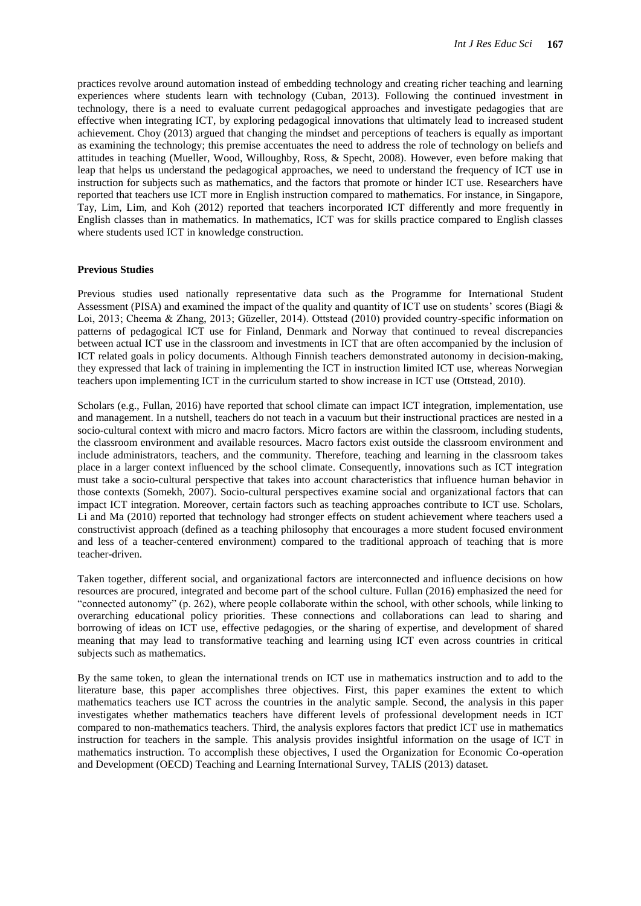practices revolve around automation instead of embedding technology and creating richer teaching and learning experiences where students learn with technology (Cuban, 2013). Following the continued investment in technology, there is a need to evaluate current pedagogical approaches and investigate pedagogies that are effective when integrating ICT, by exploring pedagogical innovations that ultimately lead to increased student achievement. Choy (2013) argued that changing the mindset and perceptions of teachers is equally as important as examining the technology; this premise accentuates the need to address the role of technology on beliefs and attitudes in teaching (Mueller, Wood, Willoughby, Ross, & Specht, 2008). However, even before making that leap that helps us understand the pedagogical approaches, we need to understand the frequency of ICT use in instruction for subjects such as mathematics, and the factors that promote or hinder ICT use. Researchers have reported that teachers use ICT more in English instruction compared to mathematics. For instance, in Singapore, Tay, Lim, Lim, and Koh (2012) reported that teachers incorporated ICT differently and more frequently in English classes than in mathematics. In mathematics, ICT was for skills practice compared to English classes where students used ICT in knowledge construction.

#### **Previous Studies**

Previous studies used nationally representative data such as the Programme for International Student Assessment (PISA) and examined the impact of the quality and quantity of ICT use on students' scores (Biagi & Loi, 2013; Cheema & Zhang, 2013; Güzeller, 2014). Ottstead (2010) provided country-specific information on patterns of pedagogical ICT use for Finland, Denmark and Norway that continued to reveal discrepancies between actual ICT use in the classroom and investments in ICT that are often accompanied by the inclusion of ICT related goals in policy documents. Although Finnish teachers demonstrated autonomy in decision-making, they expressed that lack of training in implementing the ICT in instruction limited ICT use, whereas Norwegian teachers upon implementing ICT in the curriculum started to show increase in ICT use (Ottstead, 2010).

Scholars (e.g., Fullan, 2016) have reported that school climate can impact ICT integration, implementation, use and management. In a nutshell, teachers do not teach in a vacuum but their instructional practices are nested in a socio-cultural context with micro and macro factors. Micro factors are within the classroom, including students, the classroom environment and available resources. Macro factors exist outside the classroom environment and include administrators, teachers, and the community. Therefore, teaching and learning in the classroom takes place in a larger context influenced by the school climate. Consequently, innovations such as ICT integration must take a socio-cultural perspective that takes into account characteristics that influence human behavior in those contexts (Somekh, 2007). Socio-cultural perspectives examine social and organizational factors that can impact ICT integration. Moreover, certain factors such as teaching approaches contribute to ICT use. Scholars, Li and Ma (2010) reported that technology had stronger effects on student achievement where teachers used a constructivist approach (defined as a teaching philosophy that encourages a more student focused environment and less of a teacher-centered environment) compared to the traditional approach of teaching that is more teacher-driven.

Taken together, different social, and organizational factors are interconnected and influence decisions on how resources are procured, integrated and become part of the school culture. Fullan (2016) emphasized the need for "connected autonomy" (p. 262), where people collaborate within the school, with other schools, while linking to overarching educational policy priorities. These connections and collaborations can lead to sharing and borrowing of ideas on ICT use, effective pedagogies, or the sharing of expertise, and development of shared meaning that may lead to transformative teaching and learning using ICT even across countries in critical subjects such as mathematics.

By the same token, to glean the international trends on ICT use in mathematics instruction and to add to the literature base, this paper accomplishes three objectives. First, this paper examines the extent to which mathematics teachers use ICT across the countries in the analytic sample. Second, the analysis in this paper investigates whether mathematics teachers have different levels of professional development needs in ICT compared to non-mathematics teachers. Third, the analysis explores factors that predict ICT use in mathematics instruction for teachers in the sample. This analysis provides insightful information on the usage of ICT in mathematics instruction. To accomplish these objectives, I used the Organization for Economic Co-operation and Development (OECD) Teaching and Learning International Survey, TALIS (2013) dataset.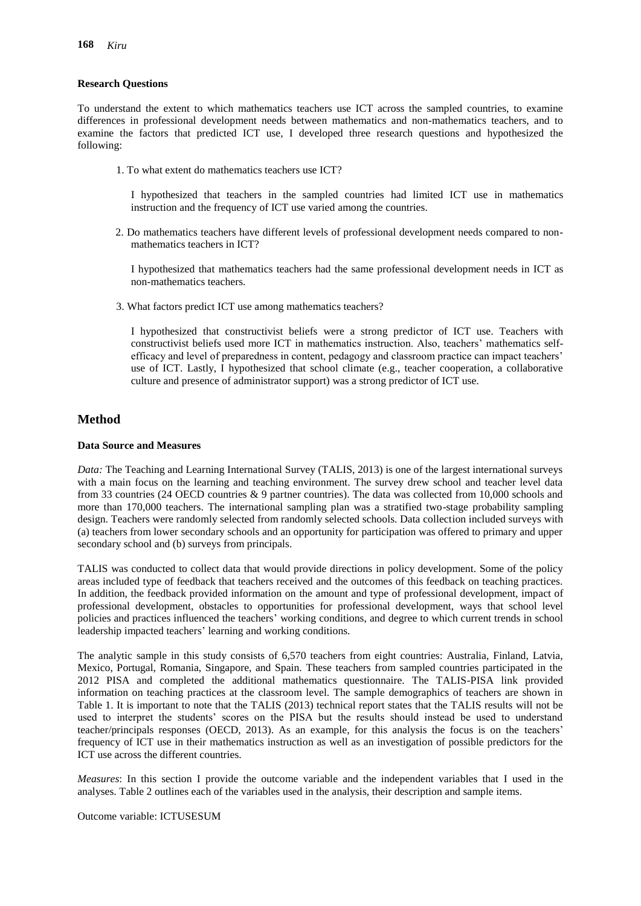#### **Research Questions**

To understand the extent to which mathematics teachers use ICT across the sampled countries, to examine differences in professional development needs between mathematics and non-mathematics teachers, and to examine the factors that predicted ICT use, I developed three research questions and hypothesized the following:

1. To what extent do mathematics teachers use ICT?

I hypothesized that teachers in the sampled countries had limited ICT use in mathematics instruction and the frequency of ICT use varied among the countries.

2. Do mathematics teachers have different levels of professional development needs compared to nonmathematics teachers in ICT?

I hypothesized that mathematics teachers had the same professional development needs in ICT as non-mathematics teachers.

3. What factors predict ICT use among mathematics teachers?

I hypothesized that constructivist beliefs were a strong predictor of ICT use. Teachers with constructivist beliefs used more ICT in mathematics instruction. Also, teachers' mathematics selfefficacy and level of preparedness in content, pedagogy and classroom practice can impact teachers' use of ICT. Lastly, I hypothesized that school climate (e.g., teacher cooperation, a collaborative culture and presence of administrator support) was a strong predictor of ICT use.

# **Method**

#### **Data Source and Measures**

*Data:* The Teaching and Learning International Survey (TALIS, 2013) is one of the largest international surveys with a main focus on the learning and teaching environment. The survey drew school and teacher level data from 33 countries (24 OECD countries & 9 partner countries). The data was collected from 10,000 schools and more than 170,000 teachers. The international sampling plan was a stratified two-stage probability sampling design. Teachers were randomly selected from randomly selected schools. Data collection included surveys with (a) teachers from lower secondary schools and an opportunity for participation was offered to primary and upper secondary school and (b) surveys from principals.

TALIS was conducted to collect data that would provide directions in policy development. Some of the policy areas included type of feedback that teachers received and the outcomes of this feedback on teaching practices. In addition, the feedback provided information on the amount and type of professional development, impact of professional development, obstacles to opportunities for professional development, ways that school level policies and practices influenced the teachers' working conditions, and degree to which current trends in school leadership impacted teachers' learning and working conditions.

The analytic sample in this study consists of 6,570 teachers from eight countries: Australia, Finland, Latvia, Mexico, Portugal, Romania, Singapore, and Spain. These teachers from sampled countries participated in the 2012 PISA and completed the additional mathematics questionnaire. The TALIS-PISA link provided information on teaching practices at the classroom level. The sample demographics of teachers are shown in Table 1. It is important to note that the TALIS (2013) technical report states that the TALIS results will not be used to interpret the students' scores on the PISA but the results should instead be used to understand teacher/principals responses (OECD, 2013). As an example, for this analysis the focus is on the teachers' frequency of ICT use in their mathematics instruction as well as an investigation of possible predictors for the ICT use across the different countries.

*Measures*: In this section I provide the outcome variable and the independent variables that I used in the analyses. Table 2 outlines each of the variables used in the analysis, their description and sample items.

Outcome variable: ICTUSESUM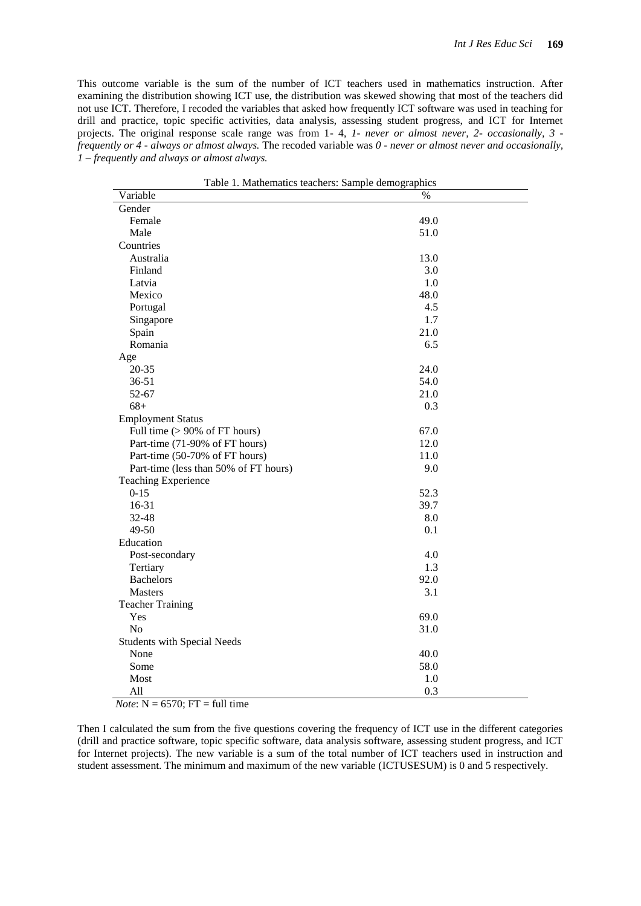This outcome variable is the sum of the number of ICT teachers used in mathematics instruction. After examining the distribution showing ICT use, the distribution was skewed showing that most of the teachers did not use ICT. Therefore, I recoded the variables that asked how frequently ICT software was used in teaching for drill and practice, topic specific activities, data analysis, assessing student progress, and ICT for Internet projects. The original response scale range was from 1- 4, *1- never or almost never, 2- occasionally, 3 frequently or 4 - always or almost always.* The recoded variable was *0 - never or almost never and occasionally, 1 – frequently and always or almost always.* 

| Variable<br>$\%$<br>Gender<br>Female<br>49.0<br>Male<br>51.0<br>Countries<br>Australia<br>13.0<br>Finland<br>3.0<br>1.0<br>Latvia<br>48.0<br>Mexico<br>4.5<br>Portugal<br>1.7<br>Singapore<br>21.0<br>Spain<br>6.5<br>Romania<br>Age<br>24.0<br>$20 - 35$<br>$36 - 51$<br>54.0<br>52-67<br>21.0 |
|-------------------------------------------------------------------------------------------------------------------------------------------------------------------------------------------------------------------------------------------------------------------------------------------------|
|                                                                                                                                                                                                                                                                                                 |
|                                                                                                                                                                                                                                                                                                 |
|                                                                                                                                                                                                                                                                                                 |
|                                                                                                                                                                                                                                                                                                 |
|                                                                                                                                                                                                                                                                                                 |
|                                                                                                                                                                                                                                                                                                 |
|                                                                                                                                                                                                                                                                                                 |
|                                                                                                                                                                                                                                                                                                 |
|                                                                                                                                                                                                                                                                                                 |
|                                                                                                                                                                                                                                                                                                 |
|                                                                                                                                                                                                                                                                                                 |
|                                                                                                                                                                                                                                                                                                 |
|                                                                                                                                                                                                                                                                                                 |
|                                                                                                                                                                                                                                                                                                 |
|                                                                                                                                                                                                                                                                                                 |
|                                                                                                                                                                                                                                                                                                 |
|                                                                                                                                                                                                                                                                                                 |
| $68+$<br>0.3                                                                                                                                                                                                                                                                                    |
| <b>Employment Status</b>                                                                                                                                                                                                                                                                        |
| 67.0<br>Full time $(>90\% \text{ of FT hours})$                                                                                                                                                                                                                                                 |
| Part-time (71-90% of FT hours)<br>12.0                                                                                                                                                                                                                                                          |
| Part-time (50-70% of FT hours)<br>11.0                                                                                                                                                                                                                                                          |
| Part-time (less than 50% of FT hours)<br>9.0                                                                                                                                                                                                                                                    |
| <b>Teaching Experience</b>                                                                                                                                                                                                                                                                      |
| $0 - 15$<br>52.3                                                                                                                                                                                                                                                                                |
| 16-31<br>39.7                                                                                                                                                                                                                                                                                   |
| 8.0<br>32-48                                                                                                                                                                                                                                                                                    |
| 49-50<br>0.1                                                                                                                                                                                                                                                                                    |
| Education                                                                                                                                                                                                                                                                                       |
| 4.0<br>Post-secondary                                                                                                                                                                                                                                                                           |
| 1.3<br>Tertiary                                                                                                                                                                                                                                                                                 |
| <b>Bachelors</b><br>92.0                                                                                                                                                                                                                                                                        |
| 3.1<br><b>Masters</b>                                                                                                                                                                                                                                                                           |
| <b>Teacher Training</b>                                                                                                                                                                                                                                                                         |
| 69.0<br>Yes                                                                                                                                                                                                                                                                                     |
| No<br>31.0                                                                                                                                                                                                                                                                                      |
| <b>Students with Special Needs</b>                                                                                                                                                                                                                                                              |
| None<br>40.0                                                                                                                                                                                                                                                                                    |
| Some<br>58.0                                                                                                                                                                                                                                                                                    |
| Most<br>1.0                                                                                                                                                                                                                                                                                     |
| All<br>0.3                                                                                                                                                                                                                                                                                      |

Table 1. Mathematics teachers: Sample demographics

*Note*: N = 6570; FT = full time

Then I calculated the sum from the five questions covering the frequency of ICT use in the different categories (drill and practice software, topic specific software, data analysis software, assessing student progress, and ICT for Internet projects). The new variable is a sum of the total number of ICT teachers used in instruction and student assessment. The minimum and maximum of the new variable (ICTUSESUM) is 0 and 5 respectively.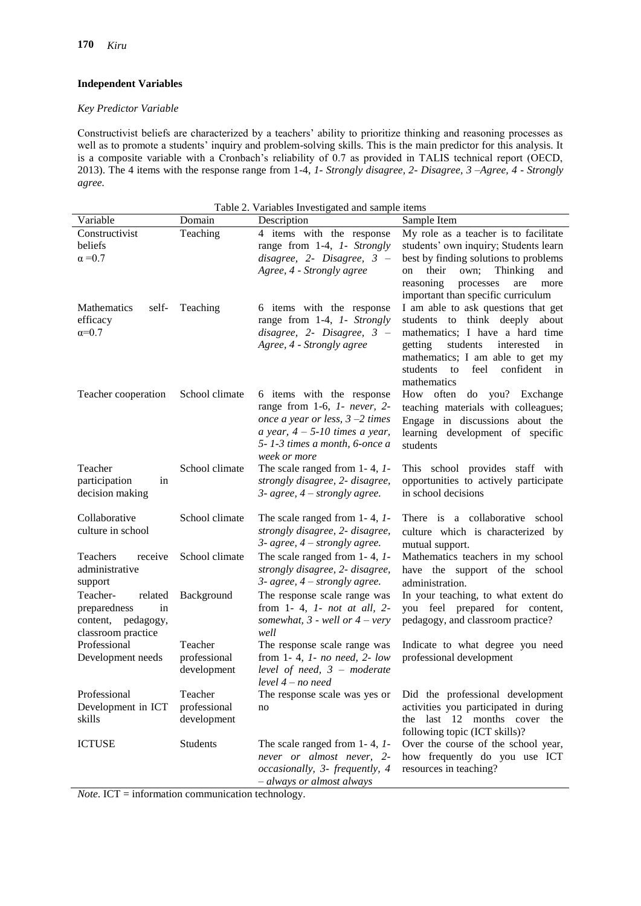$\overline{a}$ 

# **Independent Variables**

#### *Key Predictor Variable*

Constructivist beliefs are characterized by a teachers' ability to prioritize thinking and reasoning processes as well as to promote a students' inquiry and problem-solving skills. This is the main predictor for this analysis. It is a composite variable with a Cronbach's reliability of 0.7 as provided in TALIS technical report (OECD, 2013). The 4 items with the response range from 1-4, *1- Strongly disagree, 2- Disagree, 3 –Agree, 4 - Strongly agree.*

| Table 2. Variables Investigated and sample items                                      |                                        |                                                                                                                                                                                        |                                                                                                                                                                                                                                                     |  |  |
|---------------------------------------------------------------------------------------|----------------------------------------|----------------------------------------------------------------------------------------------------------------------------------------------------------------------------------------|-----------------------------------------------------------------------------------------------------------------------------------------------------------------------------------------------------------------------------------------------------|--|--|
| Variable                                                                              | Domain                                 | Description                                                                                                                                                                            | Sample Item                                                                                                                                                                                                                                         |  |  |
| Constructivist<br>beliefs<br>$\alpha = 0.7$                                           | Teaching                               | 4 items with the response<br>range from 1-4, 1- Strongly<br>$disagree, 2$ - Disagree, $3$ –<br>Agree, 4 - Strongly agree                                                               | My role as a teacher is to facilitate<br>students' own inquiry; Students learn<br>best by finding solutions to problems<br>their<br>own;<br>Thinking<br>and<br>on<br>reasoning<br>processes<br>are<br>more<br>important than specific curriculum    |  |  |
| <b>Mathematics</b><br>self-<br>efficacy<br>$\alpha=0.7$                               | Teaching                               | 6 items with the response<br>range from 1-4, 1- Strongly<br>disagree, $2$ - Disagree, $3$ -<br>Agree, 4 - Strongly agree                                                               | I am able to ask questions that get<br>students to think deeply about<br>mathematics; I have a hard time<br>students<br>getting<br>interested<br>in<br>mathematics; I am able to get my<br>confident<br>students<br>to<br>feel<br>in<br>mathematics |  |  |
| Teacher cooperation                                                                   | School climate                         | 6 items with the response<br>range from 1-6, 1- never, 2-<br>once a year or less, $3 - 2$ times<br>a year, $4 - 5 - 10$ times a year,<br>5-1-3 times a month, 6-once a<br>week or more | How often do you? Exchange<br>teaching materials with colleagues;<br>Engage in discussions about the<br>learning development of specific<br>students                                                                                                |  |  |
| Teacher<br>participation<br>in<br>decision making                                     | School climate                         | The scale ranged from $1-4$ , $1-$<br>strongly disagree, 2- disagree,<br>3- agree, $4$ – strongly agree.                                                                               | This school provides staff with<br>opportunities to actively participate<br>in school decisions                                                                                                                                                     |  |  |
| Collaborative<br>culture in school                                                    | School climate                         | The scale ranged from 1-4, 1-<br>strongly disagree, 2- disagree,<br>3- agree, $4$ – strongly agree.                                                                                    | There is a collaborative school<br>culture which is characterized by<br>mutual support.                                                                                                                                                             |  |  |
| Teachers<br>receive<br>administrative<br>support                                      | School climate                         | The scale ranged from 1-4, 1-<br>strongly disagree, 2- disagree,<br>3- agree, $4$ – strongly agree.                                                                                    | Mathematics teachers in my school<br>have the support of the school<br>administration.                                                                                                                                                              |  |  |
| Teacher-<br>related<br>preparedness<br>in<br>content, pedagogy,<br>classroom practice | Background                             | The response scale range was<br>from $1-4$ , $1-$ not at all, $2-$<br>somewhat, $3$ - well or $4$ – very<br>well                                                                       | In your teaching, to what extent do<br>you feel prepared for content,<br>pedagogy, and classroom practice?                                                                                                                                          |  |  |
| Professional<br>Development needs                                                     | Teacher<br>professional<br>development | The response scale range was<br>from 1-4, 1- no need, 2- low<br>level of need, $3 -$ moderate<br>level 4 – no need                                                                     | Indicate to what degree you need<br>professional development                                                                                                                                                                                        |  |  |
| Professional<br>Development in ICT<br>skills                                          | Teacher<br>professional<br>development | The response scale was yes or<br>no                                                                                                                                                    | Did the professional development<br>activities you participated in during<br>the last 12 months cover the<br>following topic (ICT skills)?                                                                                                          |  |  |
| <b>ICTUSE</b>                                                                         | Students                               | The scale ranged from 1-4, 1-<br>never or almost never, 2-<br>occasionally, 3- frequently, 4<br>- always or almost always                                                              | Over the course of the school year,<br>how frequently do you use ICT<br>resources in teaching?                                                                                                                                                      |  |  |

*Note*. ICT = information communication technology.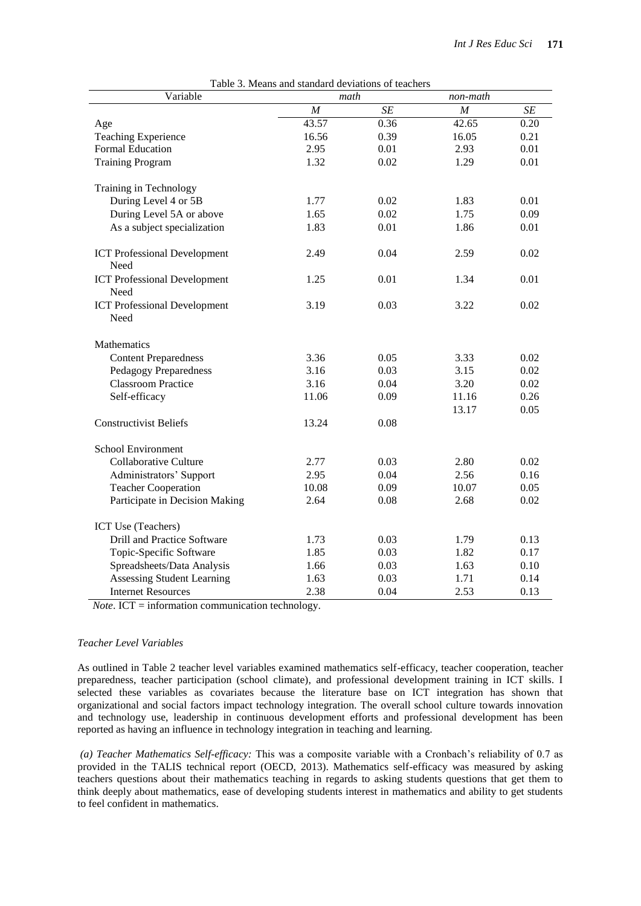| Variable                                    | I able 5. Means and standard deviations of teachers<br>math |                 |       | non-math |  |
|---------------------------------------------|-------------------------------------------------------------|-----------------|-------|----------|--|
|                                             | M                                                           | $\overline{SE}$ | M     | SE       |  |
| Age                                         | 43.57                                                       | 0.36            | 42.65 | 0.20     |  |
| <b>Teaching Experience</b>                  | 16.56                                                       | 0.39            | 16.05 | 0.21     |  |
| Formal Education                            | 2.95                                                        | 0.01            | 2.93  | 0.01     |  |
| <b>Training Program</b>                     | 1.32                                                        | 0.02            | 1.29  | 0.01     |  |
| Training in Technology                      |                                                             |                 |       |          |  |
| During Level 4 or 5B                        | 1.77                                                        | 0.02            | 1.83  | 0.01     |  |
| During Level 5A or above                    | 1.65                                                        | 0.02            | 1.75  | 0.09     |  |
| As a subject specialization                 | 1.83                                                        | 0.01            | 1.86  | 0.01     |  |
| <b>ICT Professional Development</b><br>Need | 2.49                                                        | 0.04            | 2.59  | 0.02     |  |
| <b>ICT Professional Development</b><br>Need | 1.25                                                        | 0.01            | 1.34  | 0.01     |  |
| <b>ICT Professional Development</b><br>Need | 3.19                                                        | 0.03            | 3.22  | 0.02     |  |
| Mathematics                                 |                                                             |                 |       |          |  |
| <b>Content Preparedness</b>                 | 3.36                                                        | 0.05            | 3.33  | 0.02     |  |
| <b>Pedagogy Preparedness</b>                | 3.16                                                        | 0.03            | 3.15  | 0.02     |  |
| <b>Classroom Practice</b>                   | 3.16                                                        | 0.04            | 3.20  | 0.02     |  |
| Self-efficacy                               | 11.06                                                       | 0.09            | 11.16 | 0.26     |  |
|                                             |                                                             |                 | 13.17 | 0.05     |  |
| <b>Constructivist Beliefs</b>               | 13.24                                                       | 0.08            |       |          |  |
| School Environment                          |                                                             |                 |       |          |  |
| <b>Collaborative Culture</b>                | 2.77                                                        | 0.03            | 2.80  | 0.02     |  |
| Administrators' Support                     | 2.95                                                        | 0.04            | 2.56  | 0.16     |  |
| <b>Teacher Cooperation</b>                  | 10.08                                                       | 0.09            | 10.07 | 0.05     |  |
| Participate in Decision Making              | 2.64                                                        | 0.08            | 2.68  | 0.02     |  |
| ICT Use (Teachers)                          |                                                             |                 |       |          |  |
| Drill and Practice Software                 | 1.73                                                        | 0.03            | 1.79  | 0.13     |  |
| Topic-Specific Software                     | 1.85                                                        | 0.03            | 1.82  | 0.17     |  |
| Spreadsheets/Data Analysis                  | 1.66                                                        | 0.03            | 1.63  | 0.10     |  |
| <b>Assessing Student Learning</b>           | 1.63                                                        | 0.03            | 1.71  | 0.14     |  |
| <b>Internet Resources</b>                   | 2.38                                                        | 0.04            | 2.53  | 0.13     |  |

|  |  |  |  |  | Table 3. Means and standard deviations of teachers |  |  |
|--|--|--|--|--|----------------------------------------------------|--|--|
|--|--|--|--|--|----------------------------------------------------|--|--|

*Note*. ICT = information communication technology.

#### *Teacher Level Variables*

As outlined in Table 2 teacher level variables examined mathematics self-efficacy, teacher cooperation, teacher preparedness, teacher participation (school climate), and professional development training in ICT skills. I selected these variables as covariates because the literature base on ICT integration has shown that organizational and social factors impact technology integration. The overall school culture towards innovation and technology use, leadership in continuous development efforts and professional development has been reported as having an influence in technology integration in teaching and learning.

*(a) Teacher Mathematics Self-efficacy:* This was a composite variable with a Cronbach's reliability of 0.7 as provided in the TALIS technical report (OECD, 2013). Mathematics self-efficacy was measured by asking teachers questions about their mathematics teaching in regards to asking students questions that get them to think deeply about mathematics, ease of developing students interest in mathematics and ability to get students to feel confident in mathematics.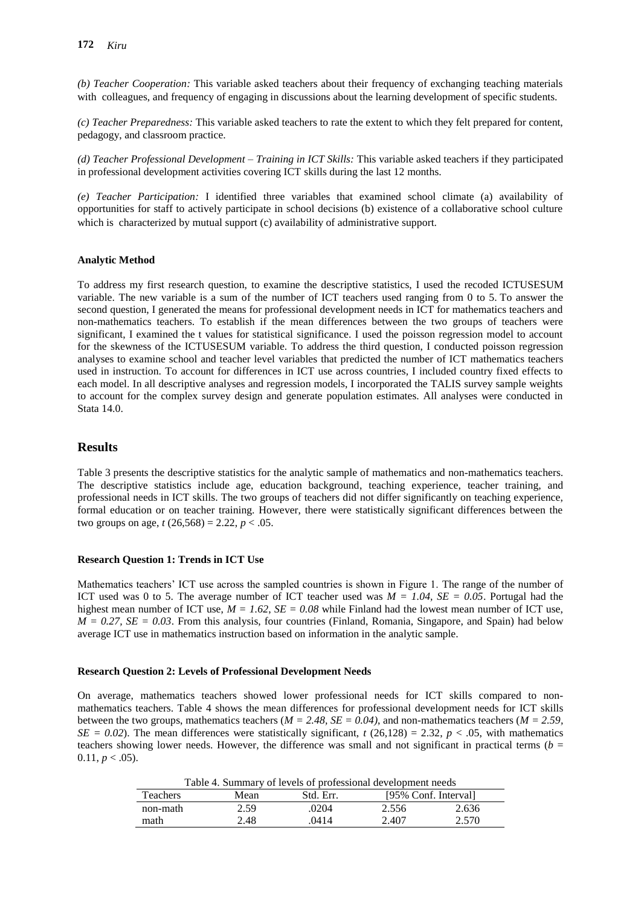*(b) Teacher Cooperation:* This variable asked teachers about their frequency of exchanging teaching materials with colleagues, and frequency of engaging in discussions about the learning development of specific students.

*(c) Teacher Preparedness:* This variable asked teachers to rate the extent to which they felt prepared for content, pedagogy, and classroom practice.

*(d) Teacher Professional Development – Training in ICT Skills:* This variable asked teachers if they participated in professional development activities covering ICT skills during the last 12 months.

*(e) Teacher Participation:* I identified three variables that examined school climate (a) availability of opportunities for staff to actively participate in school decisions (b) existence of a collaborative school culture which is characterized by mutual support (c) availability of administrative support.

# **Analytic Method**

To address my first research question, to examine the descriptive statistics, I used the recoded ICTUSESUM variable. The new variable is a sum of the number of ICT teachers used ranging from 0 to 5. To answer the second question, I generated the means for professional development needs in ICT for mathematics teachers and non-mathematics teachers. To establish if the mean differences between the two groups of teachers were significant, I examined the t values for statistical significance. I used the poisson regression model to account for the skewness of the ICTUSESUM variable. To address the third question, I conducted poisson regression analyses to examine school and teacher level variables that predicted the number of ICT mathematics teachers used in instruction. To account for differences in ICT use across countries, I included country fixed effects to each model. In all descriptive analyses and regression models, I incorporated the TALIS survey sample weights to account for the complex survey design and generate population estimates. All analyses were conducted in Stata 14.0.

# **Results**

Table 3 presents the descriptive statistics for the analytic sample of mathematics and non-mathematics teachers. The descriptive statistics include age, education background, teaching experience, teacher training, and professional needs in ICT skills. The two groups of teachers did not differ significantly on teaching experience, formal education or on teacher training. However, there were statistically significant differences between the two groups on age,  $t(26,568) = 2.22$ ,  $p < .05$ .

#### **Research Question 1: Trends in ICT Use**

Mathematics teachers' ICT use across the sampled countries is shown in Figure 1. The range of the number of ICT used was 0 to 5. The average number of ICT teacher used was  $M = 1.04$ ,  $SE = 0.05$ . Portugal had the highest mean number of ICT use, *M = 1.62*, *SE = 0.08* while Finland had the lowest mean number of ICT use,  $M = 0.27$ ,  $SE = 0.03$ . From this analysis, four countries (Finland, Romania, Singapore, and Spain) had below average ICT use in mathematics instruction based on information in the analytic sample.

#### **Research Question 2: Levels of Professional Development Needs**

On average, mathematics teachers showed lower professional needs for ICT skills compared to nonmathematics teachers. Table 4 shows the mean differences for professional development needs for ICT skills between the two groups, mathematics teachers (*M = 2.48, SE = 0.04)*, and non-mathematics teachers (*M = 2.59,*   $SE = 0.02$ ). The mean differences were statistically significant, *t* (26,128) = 2.32, *p* < .05, with mathematics teachers showing lower needs. However, the difference was small and not significant in practical terms ( $b =$  $0.11, p < .05$ ).

Table 4. Summary of levels of professional development needs

|                 | Tuole is building to the tens of professional development necess |      |       |       |
|-----------------|------------------------------------------------------------------|------|-------|-------|
| <b>Teachers</b> | [95% Conf. Interval]<br>Std. Err.<br>Mean                        |      |       |       |
| non-math        | 2.59                                                             | 0204 | 2.556 | 2.636 |
| math            | 2.48                                                             | 0414 | 2.407 | 2.570 |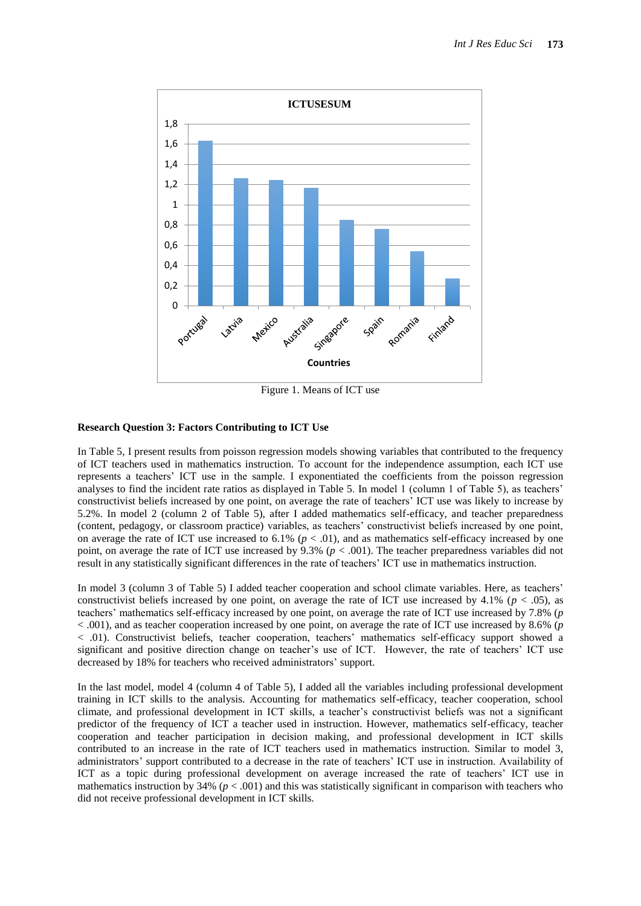

Figure 1. Means of ICT use

# **Research Question 3: Factors Contributing to ICT Use**

In Table 5, I present results from poisson regression models showing variables that contributed to the frequency of ICT teachers used in mathematics instruction. To account for the independence assumption, each ICT use represents a teachers' ICT use in the sample. I exponentiated the coefficients from the poisson regression analyses to find the incident rate ratios as displayed in Table 5. In model 1 (column 1 of Table 5), as teachers' constructivist beliefs increased by one point, on average the rate of teachers' ICT use was likely to increase by 5.2%. In model 2 (column 2 of Table 5), after I added mathematics self-efficacy, and teacher preparedness (content, pedagogy, or classroom practice) variables, as teachers' constructivist beliefs increased by one point, on average the rate of ICT use increased to  $6.1\%$  ( $p < .01$ ), and as mathematics self-efficacy increased by one point, on average the rate of ICT use increased by 9.3% (*p* < .001). The teacher preparedness variables did not result in any statistically significant differences in the rate of teachers' ICT use in mathematics instruction.

In model 3 (column 3 of Table 5) I added teacher cooperation and school climate variables. Here, as teachers' constructivist beliefs increased by one point, on average the rate of ICT use increased by 4.1% ( $p < .05$ ), as teachers' mathematics self-efficacy increased by one point, on average the rate of ICT use increased by 7.8% (*p* < .001), and as teacher cooperation increased by one point, on average the rate of ICT use increased by 8.6% (*p* < .01). Constructivist beliefs, teacher cooperation, teachers' mathematics self-efficacy support showed a significant and positive direction change on teacher's use of ICT. However, the rate of teachers' ICT use decreased by 18% for teachers who received administrators' support.

In the last model, model 4 (column 4 of Table 5), I added all the variables including professional development training in ICT skills to the analysis. Accounting for mathematics self-efficacy, teacher cooperation, school climate, and professional development in ICT skills, a teacher's constructivist beliefs was not a significant predictor of the frequency of ICT a teacher used in instruction. However, mathematics self-efficacy, teacher cooperation and teacher participation in decision making, and professional development in ICT skills contributed to an increase in the rate of ICT teachers used in mathematics instruction. Similar to model 3, administrators' support contributed to a decrease in the rate of teachers' ICT use in instruction. Availability of ICT as a topic during professional development on average increased the rate of teachers' ICT use in mathematics instruction by  $34\%$  ( $p < .001$ ) and this was statistically significant in comparison with teachers who did not receive professional development in ICT skills.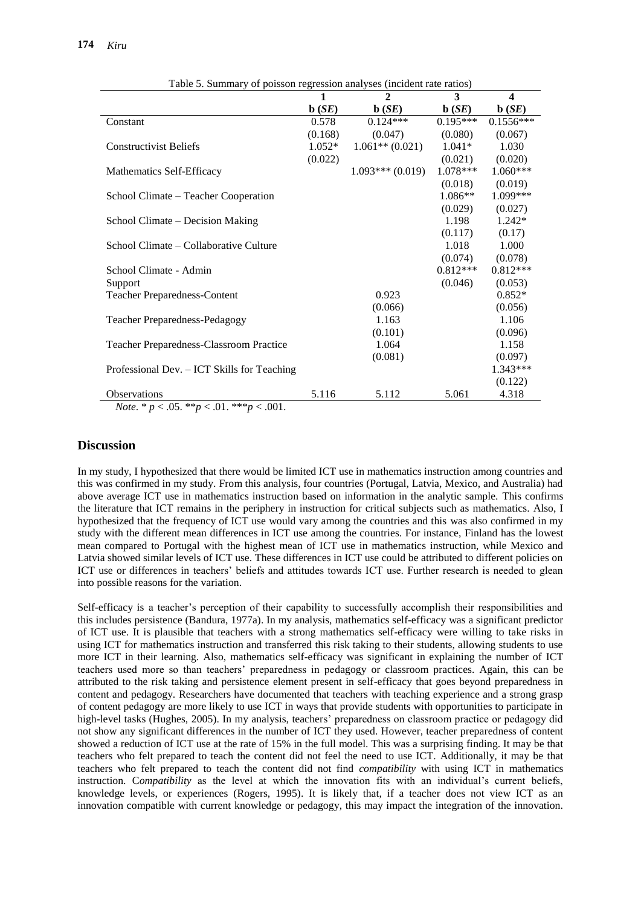|                                                                                                   | 1                 | $\mathbf{2}$               | 3                          | $\boldsymbol{4}$           |
|---------------------------------------------------------------------------------------------------|-------------------|----------------------------|----------------------------|----------------------------|
|                                                                                                   | $\mathbf{b}$ (SE) | $\mathbf{b}$ ( <i>SE</i> ) | $\mathbf{b}$ ( <i>SE</i> ) | $\mathbf{b}$ ( <i>SE</i> ) |
| Constant                                                                                          | 0.578             | $0.124***$                 | $0.195***$                 | $0.1556***$                |
|                                                                                                   | (0.168)           | (0.047)                    | (0.080)                    | (0.067)                    |
| <b>Constructivist Beliefs</b>                                                                     | $1.052*$          | $1.061**$ (0.021)          | $1.041*$                   | 1.030                      |
|                                                                                                   | (0.022)           |                            | (0.021)                    | (0.020)                    |
| Mathematics Self-Efficacy                                                                         |                   | $1.093***(0.019)$          | 1.078***                   | $1.060***$                 |
|                                                                                                   |                   |                            | (0.018)                    | (0.019)                    |
| School Climate – Teacher Cooperation                                                              |                   |                            | $1.086**$                  | 1.099***                   |
|                                                                                                   |                   |                            | (0.029)                    | (0.027)                    |
| School Climate – Decision Making                                                                  |                   |                            | 1.198                      | 1.242*                     |
|                                                                                                   |                   |                            | (0.117)                    | (0.17)                     |
| School Climate - Collaborative Culture                                                            |                   |                            | 1.018                      | 1.000                      |
|                                                                                                   |                   |                            | (0.074)                    | (0.078)                    |
| School Climate - Admin                                                                            |                   |                            | $0.812***$                 | $0.812***$                 |
| Support                                                                                           |                   |                            | (0.046)                    | (0.053)                    |
| <b>Teacher Preparedness-Content</b>                                                               |                   | 0.923                      |                            | $0.852*$                   |
|                                                                                                   |                   | (0.066)                    |                            | (0.056)                    |
| <b>Teacher Preparedness-Pedagogy</b>                                                              |                   | 1.163                      |                            | 1.106                      |
|                                                                                                   |                   | (0.101)                    |                            | (0.096)                    |
| Teacher Preparedness-Classroom Practice                                                           |                   | 1.064                      |                            | 1.158                      |
|                                                                                                   |                   | (0.081)                    |                            | (0.097)                    |
| Professional Dev. – ICT Skills for Teaching                                                       |                   |                            |                            | $1.343***$                 |
|                                                                                                   |                   |                            |                            | (0.122)                    |
| Observations<br>$\sim$ $\sim$ $\sim$ $\sim$ $\sim$<br>and the contract of the contract of<br>0.04 | 5.116             | 5.112                      | 5.061                      | 4.318                      |

| Table 5. Summary of poisson regression analyses (incident rate ratios) |  |  |  |
|------------------------------------------------------------------------|--|--|--|
|                                                                        |  |  |  |

*Note*. \*  $p < .05$ . \*\* $p < .01$ . \*\*\* $p < .001$ .

# **Discussion**

In my study, I hypothesized that there would be limited ICT use in mathematics instruction among countries and this was confirmed in my study. From this analysis, four countries (Portugal, Latvia, Mexico, and Australia) had above average ICT use in mathematics instruction based on information in the analytic sample. This confirms the literature that ICT remains in the periphery in instruction for critical subjects such as mathematics. Also, I hypothesized that the frequency of ICT use would vary among the countries and this was also confirmed in my study with the different mean differences in ICT use among the countries. For instance, Finland has the lowest mean compared to Portugal with the highest mean of ICT use in mathematics instruction, while Mexico and Latvia showed similar levels of ICT use. These differences in ICT use could be attributed to different policies on ICT use or differences in teachers' beliefs and attitudes towards ICT use. Further research is needed to glean into possible reasons for the variation.

Self-efficacy is a teacher's perception of their capability to successfully accomplish their responsibilities and this includes persistence (Bandura, 1977a). In my analysis, mathematics self-efficacy was a significant predictor of ICT use. It is plausible that teachers with a strong mathematics self-efficacy were willing to take risks in using ICT for mathematics instruction and transferred this risk taking to their students, allowing students to use more ICT in their learning. Also, mathematics self-efficacy was significant in explaining the number of ICT teachers used more so than teachers' preparedness in pedagogy or classroom practices. Again, this can be attributed to the risk taking and persistence element present in self-efficacy that goes beyond preparedness in content and pedagogy. Researchers have documented that teachers with teaching experience and a strong grasp of content pedagogy are more likely to use ICT in ways that provide students with opportunities to participate in high-level tasks (Hughes, 2005). In my analysis, teachers' preparedness on classroom practice or pedagogy did not show any significant differences in the number of ICT they used. However, teacher preparedness of content showed a reduction of ICT use at the rate of 15% in the full model. This was a surprising finding. It may be that teachers who felt prepared to teach the content did not feel the need to use ICT. Additionally, it may be that teachers who felt prepared to teach the content did not find *compatibility* with using ICT in mathematics instruction. C*ompatibility* as the level at which the innovation fits with an individual's current beliefs, knowledge levels, or experiences (Rogers, 1995). It is likely that, if a teacher does not view ICT as an innovation compatible with current knowledge or pedagogy, this may impact the integration of the innovation.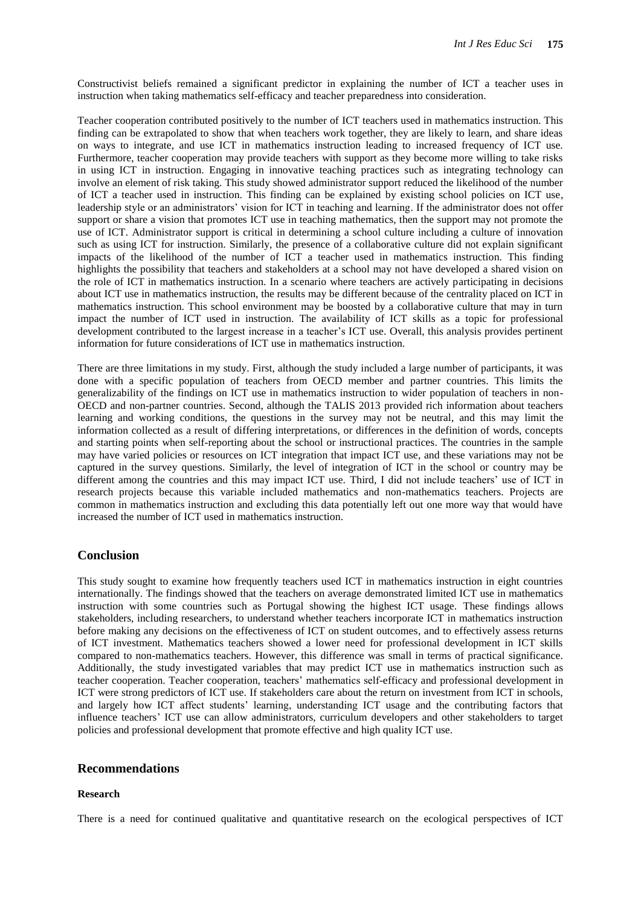Constructivist beliefs remained a significant predictor in explaining the number of ICT a teacher uses in instruction when taking mathematics self-efficacy and teacher preparedness into consideration.

Teacher cooperation contributed positively to the number of ICT teachers used in mathematics instruction. This finding can be extrapolated to show that when teachers work together, they are likely to learn, and share ideas on ways to integrate, and use ICT in mathematics instruction leading to increased frequency of ICT use. Furthermore, teacher cooperation may provide teachers with support as they become more willing to take risks in using ICT in instruction. Engaging in innovative teaching practices such as integrating technology can involve an element of risk taking. This study showed administrator support reduced the likelihood of the number of ICT a teacher used in instruction. This finding can be explained by existing school policies on ICT use, leadership style or an administrators' vision for ICT in teaching and learning. If the administrator does not offer support or share a vision that promotes ICT use in teaching mathematics, then the support may not promote the use of ICT. Administrator support is critical in determining a school culture including a culture of innovation such as using ICT for instruction. Similarly, the presence of a collaborative culture did not explain significant impacts of the likelihood of the number of ICT a teacher used in mathematics instruction. This finding highlights the possibility that teachers and stakeholders at a school may not have developed a shared vision on the role of ICT in mathematics instruction. In a scenario where teachers are actively participating in decisions about ICT use in mathematics instruction, the results may be different because of the centrality placed on ICT in mathematics instruction. This school environment may be boosted by a collaborative culture that may in turn impact the number of ICT used in instruction. The availability of ICT skills as a topic for professional development contributed to the largest increase in a teacher's ICT use. Overall, this analysis provides pertinent information for future considerations of ICT use in mathematics instruction.

There are three limitations in my study. First, although the study included a large number of participants, it was done with a specific population of teachers from OECD member and partner countries. This limits the generalizability of the findings on ICT use in mathematics instruction to wider population of teachers in non-OECD and non-partner countries. Second, although the TALIS 2013 provided rich information about teachers learning and working conditions, the questions in the survey may not be neutral, and this may limit the information collected as a result of differing interpretations, or differences in the definition of words, concepts and starting points when self-reporting about the school or instructional practices. The countries in the sample may have varied policies or resources on ICT integration that impact ICT use, and these variations may not be captured in the survey questions. Similarly, the level of integration of ICT in the school or country may be different among the countries and this may impact ICT use. Third, I did not include teachers' use of ICT in research projects because this variable included mathematics and non-mathematics teachers. Projects are common in mathematics instruction and excluding this data potentially left out one more way that would have increased the number of ICT used in mathematics instruction.

# **Conclusion**

This study sought to examine how frequently teachers used ICT in mathematics instruction in eight countries internationally. The findings showed that the teachers on average demonstrated limited ICT use in mathematics instruction with some countries such as Portugal showing the highest ICT usage. These findings allows stakeholders, including researchers, to understand whether teachers incorporate ICT in mathematics instruction before making any decisions on the effectiveness of ICT on student outcomes, and to effectively assess returns of ICT investment. Mathematics teachers showed a lower need for professional development in ICT skills compared to non-mathematics teachers. However, this difference was small in terms of practical significance. Additionally, the study investigated variables that may predict ICT use in mathematics instruction such as teacher cooperation. Teacher cooperation, teachers' mathematics self-efficacy and professional development in ICT were strong predictors of ICT use. If stakeholders care about the return on investment from ICT in schools, and largely how ICT affect students' learning, understanding ICT usage and the contributing factors that influence teachers' ICT use can allow administrators, curriculum developers and other stakeholders to target policies and professional development that promote effective and high quality ICT use.

#### **Recommendations**

#### **Research**

There is a need for continued qualitative and quantitative research on the ecological perspectives of ICT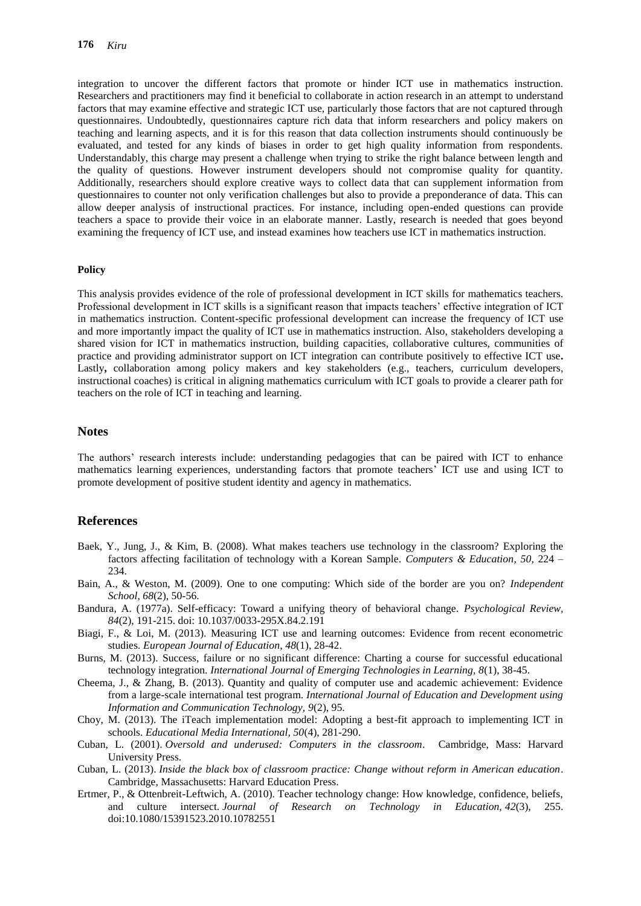integration to uncover the different factors that promote or hinder ICT use in mathematics instruction. Researchers and practitioners may find it beneficial to collaborate in action research in an attempt to understand factors that may examine effective and strategic ICT use, particularly those factors that are not captured through questionnaires. Undoubtedly, questionnaires capture rich data that inform researchers and policy makers on teaching and learning aspects, and it is for this reason that data collection instruments should continuously be evaluated, and tested for any kinds of biases in order to get high quality information from respondents. Understandably, this charge may present a challenge when trying to strike the right balance between length and the quality of questions. However instrument developers should not compromise quality for quantity. Additionally, researchers should explore creative ways to collect data that can supplement information from questionnaires to counter not only verification challenges but also to provide a preponderance of data. This can allow deeper analysis of instructional practices. For instance, including open-ended questions can provide teachers a space to provide their voice in an elaborate manner. Lastly, research is needed that goes beyond examining the frequency of ICT use, and instead examines how teachers use ICT in mathematics instruction.

#### **Policy**

This analysis provides evidence of the role of professional development in ICT skills for mathematics teachers. Professional development in ICT skills is a significant reason that impacts teachers' effective integration of ICT in mathematics instruction. Content-specific professional development can increase the frequency of ICT use and more importantly impact the quality of ICT use in mathematics instruction. Also, stakeholders developing a shared vision for ICT in mathematics instruction, building capacities, collaborative cultures, communities of practice and providing administrator support on ICT integration can contribute positively to effective ICT use**.**  Lastly, collaboration among policy makers and key stakeholders (e.g., teachers, curriculum developers, instructional coaches) is critical in aligning mathematics curriculum with ICT goals to provide a clearer path for teachers on the role of ICT in teaching and learning.

#### **Notes**

The authors' research interests include: understanding pedagogies that can be paired with ICT to enhance mathematics learning experiences, understanding factors that promote teachers' ICT use and using ICT to promote development of positive student identity and agency in mathematics.

# **References**

- Baek, Y., Jung, J., & Kim, B. (2008). What makes teachers use technology in the classroom? Exploring the factors affecting facilitation of technology with a Korean Sample. *Computers & Education*, *50*, 224 – 234.
- Bain, A., & Weston, M. (2009). One to one computing: Which side of the border are you on? *Independent School*, *68*(2), 50-56.
- Bandura, A. (1977a). Self-efficacy: Toward a unifying theory of behavioral change. *Psychological Review, 84*(2), 191-215. doi: 10.1037/0033-295X.84.2.191
- Biagi, F., & Loi, M. (2013). Measuring ICT use and learning outcomes: Evidence from recent econometric studies. *European Journal of Education*, *48*(1), 28-42.
- Burns, M. (2013). Success, failure or no significant difference: Charting a course for successful educational technology integration. *International Journal of Emerging Technologies in Learning, 8*(1), 38-45.
- Cheema, J., & Zhang, B. (2013). Quantity and quality of computer use and academic achievement: Evidence from a large-scale international test program. *International Journal of Education and Development using Information and Communication Technology, 9*(2), 95.
- Choy, M. (2013). The iTeach implementation model: Adopting a best-fit approach to implementing ICT in schools. *Educational Media International, 50*(4), 281-290.
- Cuban, L. (2001). *Oversold and underused: Computers in the classroom*. Cambridge, Mass: Harvard University Press.
- Cuban, L. (2013). *Inside the black box of classroom practice: Change without reform in American education*. Cambridge, Massachusetts: Harvard Education Press.
- Ertmer, P., & Ottenbreit-Leftwich, A. (2010). Teacher technology change: How knowledge, confidence, beliefs, and culture intersect. *Journal of Research on Technology in Education, 42*(3), 255. doi:10.1080/15391523.2010.10782551